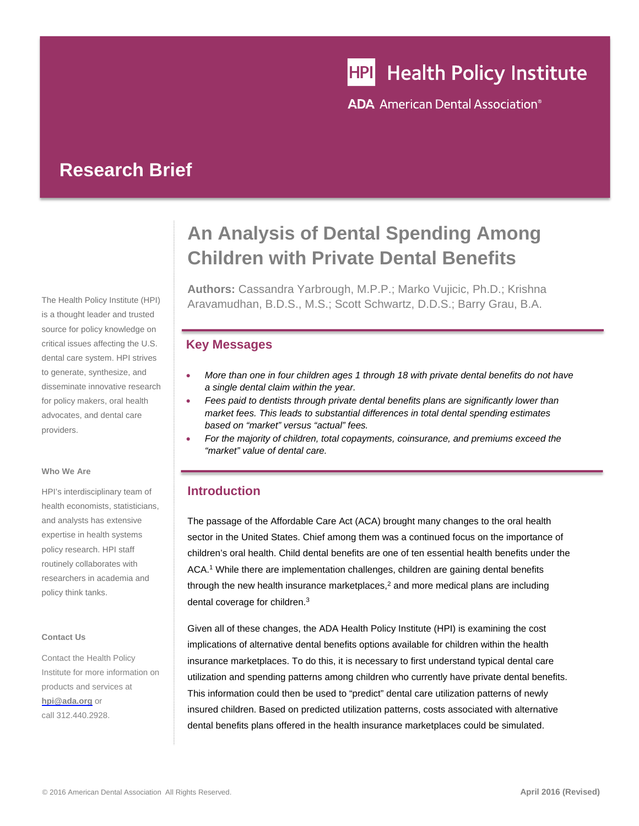# **HPI** Health Policy Institute

**ADA** American Dental Association<sup>®</sup>

## **Research Brief**

The Health Policy Institute (HPI) is a thought leader and trusted source for policy knowledge on critical issues affecting the U.S. dental care system. HPI strives to generate, synthesize, and disseminate innovative research for policy makers, oral health advocates, and dental care providers.

#### **Who We Are**

HPI's interdisciplinary team of health economists, statisticians, and analysts has extensive expertise in health systems policy research. HPI staff routinely collaborates with researchers in academia and policy think tanks.

#### **Contact Us**

Contact the Health Policy Institute for more information on products and services at **hpi@ada.org** or call 312.440.2928.

# **An Analysis of Dental Spending Among Children with Private Dental Benefits**

**Authors:** Cassandra Yarbrough, M.P.P.; Marko Vujicic, Ph.D.; Krishna Aravamudhan, B.D.S., M.S.; Scott Schwartz, D.D.S.; Barry Grau, B.A.

#### **Key Messages**

- *More than one in four children ages 1 through 18 with private dental benefits do not have a single dental claim within the year.*
- *Fees paid to dentists through private dental benefits plans are significantly lower than market fees. This leads to substantial differences in total dental spending estimates based on "market" versus "actual" fees.*
- *For the majority of children, total copayments, coinsurance, and premiums exceed the "market" value of dental care.*

### **Introduction**

The passage of the Affordable Care Act (ACA) brought many changes to the oral health sector in the United States. Chief among them was a continued focus on the importance of children's oral health. Child dental benefits are one of ten essential health benefits under the ACA.1 While there are implementation challenges, children are gaining dental benefits through the new health insurance marketplaces, $2$  and more medical plans are including dental coverage for children.<sup>3</sup>

Given all of these changes, the ADA Health Policy Institute (HPI) is examining the cost implications of alternative dental benefits options available for children within the health insurance marketplaces. To do this, it is necessary to first understand typical dental care utilization and spending patterns among children who currently have private dental benefits. This information could then be used to "predict" dental care utilization patterns of newly insured children. Based on predicted utilization patterns, costs associated with alternative dental benefits plans offered in the health insurance marketplaces could be simulated.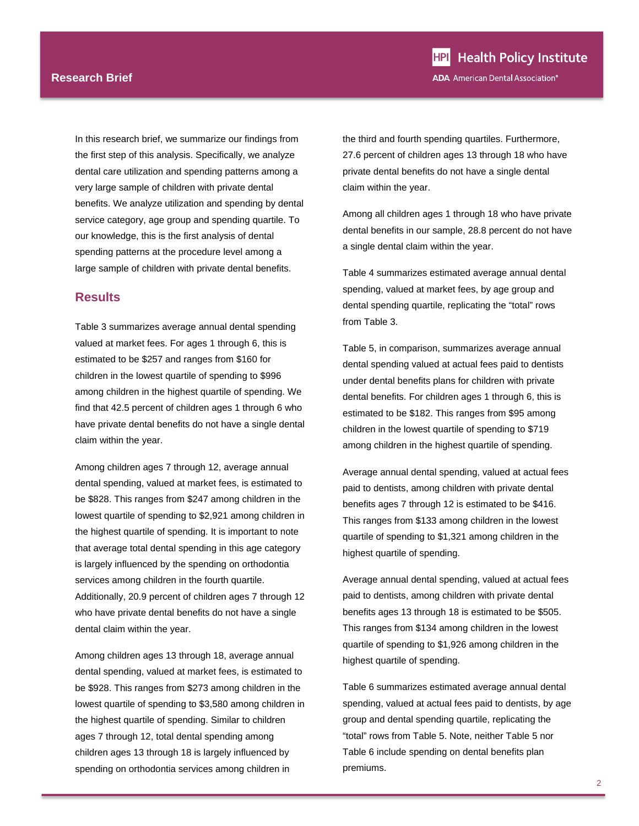In this research brief, we summarize our findings from the first step of this analysis. Specifically, we analyze dental care utilization and spending patterns among a very large sample of children with private dental benefits. We analyze utilization and spending by dental service category, age group and spending quartile. To our knowledge, this is the first analysis of dental spending patterns at the procedure level among a large sample of children with private dental benefits.

#### **Results**

Table 3 summarizes average annual dental spending valued at market fees. For ages 1 through 6, this is estimated to be \$257 and ranges from \$160 for children in the lowest quartile of spending to \$996 among children in the highest quartile of spending. We find that 42.5 percent of children ages 1 through 6 who have private dental benefits do not have a single dental claim within the year.

Among children ages 7 through 12, average annual dental spending, valued at market fees, is estimated to be \$828. This ranges from \$247 among children in the lowest quartile of spending to \$2,921 among children in the highest quartile of spending. It is important to note that average total dental spending in this age category is largely influenced by the spending on orthodontia services among children in the fourth quartile. Additionally, 20.9 percent of children ages 7 through 12 who have private dental benefits do not have a single dental claim within the year.

Among children ages 13 through 18, average annual dental spending, valued at market fees, is estimated to be \$928. This ranges from \$273 among children in the lowest quartile of spending to \$3,580 among children in the highest quartile of spending. Similar to children ages 7 through 12, total dental spending among children ages 13 through 18 is largely influenced by spending on orthodontia services among children in

**HPI** Health Policy Institute **ADA** American Dental Association<sup>®</sup>

the third and fourth spending quartiles. Furthermore, 27.6 percent of children ages 13 through 18 who have private dental benefits do not have a single dental claim within the year.

Among all children ages 1 through 18 who have private dental benefits in our sample, 28.8 percent do not have a single dental claim within the year.

Table 4 summarizes estimated average annual dental spending, valued at market fees, by age group and dental spending quartile, replicating the "total" rows from Table 3.

Table 5, in comparison, summarizes average annual dental spending valued at actual fees paid to dentists under dental benefits plans for children with private dental benefits. For children ages 1 through 6, this is estimated to be \$182. This ranges from \$95 among children in the lowest quartile of spending to \$719 among children in the highest quartile of spending.

Average annual dental spending, valued at actual fees paid to dentists, among children with private dental benefits ages 7 through 12 is estimated to be \$416. This ranges from \$133 among children in the lowest quartile of spending to \$1,321 among children in the highest quartile of spending.

Average annual dental spending, valued at actual fees paid to dentists, among children with private dental benefits ages 13 through 18 is estimated to be \$505. This ranges from \$134 among children in the lowest quartile of spending to \$1,926 among children in the highest quartile of spending.

Table 6 summarizes estimated average annual dental spending, valued at actual fees paid to dentists, by age group and dental spending quartile, replicating the "total" rows from Table 5. Note, neither Table 5 nor Table 6 include spending on dental benefits plan premiums.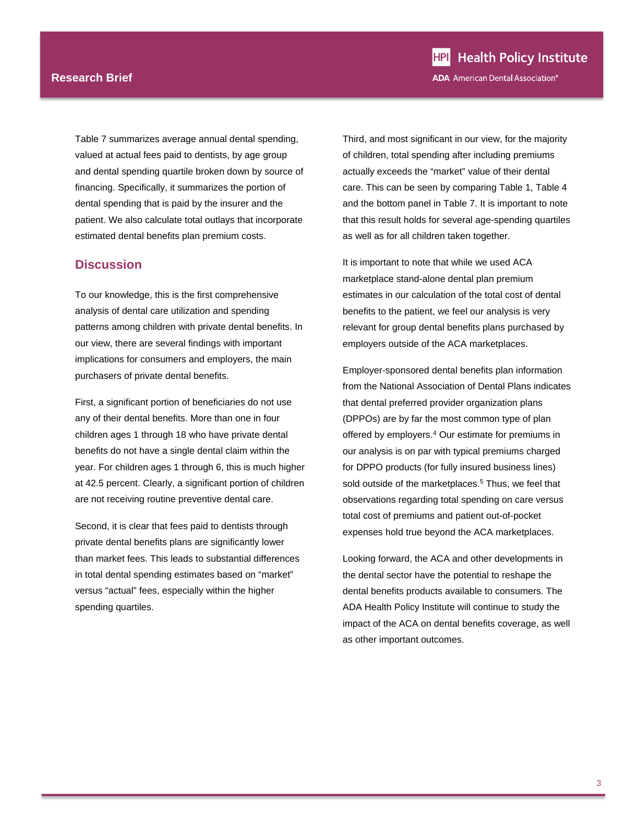#### **Research Brief**

Table 7 summarizes average annual dental spending, valued at actual fees paid to dentists, by age group and dental spending quartile broken down by source of financing. Specifically, it summarizes the portion of dental spending that is paid by the insurer and the patient. We also calculate total outlays that incorporate estimated dental benefits plan premium costs.

#### **Discussion**

To our knowledge, this is the first comprehensive analysis of dental care utilization and spending patterns among children with private dental benefits. In our view, there are several findings with important implications for consumers and employers, the main purchasers of private dental benefits.

First, a significant portion of beneficiaries do not use any of their dental benefits. More than one in four children ages 1 through 18 who have private dental benefits do not have a single dental claim within the year. For children ages 1 through 6, this is much higher at 42.5 percent. Clearly, a significant portion of children are not receiving routine preventive dental care.

Second, it is clear that fees paid to dentists through private dental benefits plans are significantly lower than market fees. This leads to substantial differences in total dental spending estimates based on "market" versus "actual" fees, especially within the higher spending quartiles.

Third, and most significant in our view, for the majority of children, total spending after including premiums actually exceeds the "market" value of their dental care. This can be seen by comparing Table 1, Table 4 and the bottom panel in Table 7. It is important to note that this result holds for several age-spending quartiles as well as for all children taken together.

It is important to note that while we used ACA marketplace stand-alone dental plan premium estimates in our calculation of the total cost of dental benefits to the patient, we feel our analysis is very relevant for group dental benefits plans purchased by employers outside of the ACA marketplaces.

Employer-sponsored dental benefits plan information from the National Association of Dental Plans indicates that dental preferred provider organization plans (DPPOs) are by far the most common type of plan offered by employers.<sup>4</sup> Our estimate for premiums in our analysis is on par with typical premiums charged for DPPO products (for fully insured business lines) sold outside of the marketplaces.<sup>5</sup> Thus, we feel that observations regarding total spending on care versus total cost of premiums and patient out-of-pocket expenses hold true beyond the ACA marketplaces.

Looking forward, the ACA and other developments in the dental sector have the potential to reshape the dental benefits products available to consumers. The ADA Health Policy Institute will continue to study the impact of the ACA on dental benefits coverage, as well as other important outcomes.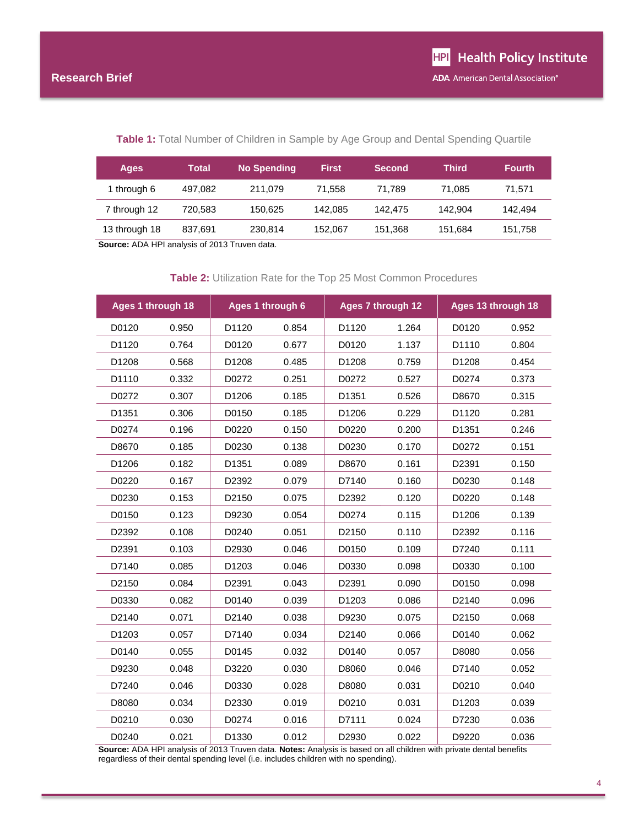#### Table 1: Total Number of Children in Sample by Age Group and Dental Spending Quartile

| Ages          | Total   | <b>No Spending</b> | <b>First</b> | <b>Second</b> | <b>Third</b> | <b>Fourth</b> |
|---------------|---------|--------------------|--------------|---------------|--------------|---------------|
| 1 through 6   | 497.082 | 211.079            | 71.558       | 71.789        | 71.085       | 71.571        |
| 7 through 12  | 720.583 | 150.625            | 142.085      | 142.475       | 142.904      | 142.494       |
| 13 through 18 | 837,691 | 230,814            | 152.067      | 151.368       | 151.684      | 151.758       |

**Source:** ADA HPI analysis of 2013 Truven data.

#### **Table 2:** Utilization Rate for the Top 25 Most Common Procedures

| Ages 1 through 18 |       | Ages 1 through 6  |       | Ages 7 through 12 |       | Ages 13 through 18 |       |
|-------------------|-------|-------------------|-------|-------------------|-------|--------------------|-------|
| D0120             | 0.950 | D1120             | 0.854 | D1120             | 1.264 | D0120              | 0.952 |
| D1120             | 0.764 | D0120             | 0.677 | D0120             | 1.137 | D1110              | 0.804 |
| D1208             | 0.568 | D <sub>1208</sub> | 0.485 | D1208             | 0.759 | D <sub>1208</sub>  | 0.454 |
| D1110             | 0.332 | D0272             | 0.251 | D0272             | 0.527 | D0274              | 0.373 |
| D0272             | 0.307 | D1206             | 0.185 | D1351             | 0.526 | D8670              | 0.315 |
| D1351             | 0.306 | D0150             | 0.185 | D1206             | 0.229 | D1120              | 0.281 |
| D0274             | 0.196 | D0220             | 0.150 | D0220             | 0.200 | D1351              | 0.246 |
| D8670             | 0.185 | D0230             | 0.138 | D0230             | 0.170 | D0272              | 0.151 |
| D1206             | 0.182 | D <sub>1351</sub> | 0.089 | D8670             | 0.161 | D2391              | 0.150 |
| D0220             | 0.167 | D2392             | 0.079 | D7140             | 0.160 | D0230              | 0.148 |
| D0230             | 0.153 | D2150             | 0.075 | D2392             | 0.120 | D0220              | 0.148 |
| D0150             | 0.123 | D9230             | 0.054 | D0274             | 0.115 | D <sub>1206</sub>  | 0.139 |
| D2392             | 0.108 | D0240             | 0.051 | D2150             | 0.110 | D2392              | 0.116 |
| D2391             | 0.103 | D2930             | 0.046 | D0150             | 0.109 | D7240              | 0.111 |
| D7140             | 0.085 | D1203             | 0.046 | D0330             | 0.098 | D0330              | 0.100 |
| D2150             | 0.084 | D2391             | 0.043 | D2391             | 0.090 | D0150              | 0.098 |
| D0330             | 0.082 | D0140             | 0.039 | D1203             | 0.086 | D <sub>2140</sub>  | 0.096 |
| D2140             | 0.071 | D <sub>2140</sub> | 0.038 | D9230             | 0.075 | D <sub>2150</sub>  | 0.068 |
| D1203             | 0.057 | D7140             | 0.034 | D2140             | 0.066 | D0140              | 0.062 |
| D0140             | 0.055 | D0145             | 0.032 | D0140             | 0.057 | D8080              | 0.056 |
| D9230             | 0.048 | D3220             | 0.030 | D8060             | 0.046 | D7140              | 0.052 |
| D7240             | 0.046 | D0330             | 0.028 | D8080             | 0.031 | D0210              | 0.040 |
| D8080             | 0.034 | D2330             | 0.019 | D0210             | 0.031 | D1203              | 0.039 |
| D0210             | 0.030 | D0274             | 0.016 | D7111             | 0.024 | D7230              | 0.036 |
| D0240             | 0.021 | D <sub>1330</sub> | 0.012 | D2930             | 0.022 | D9220              | 0.036 |

**Source:** ADA HPI analysis of 2013 Truven data. **Notes:** Analysis is based on all children with private dental benefits regardless of their dental spending level (i.e. includes children with no spending).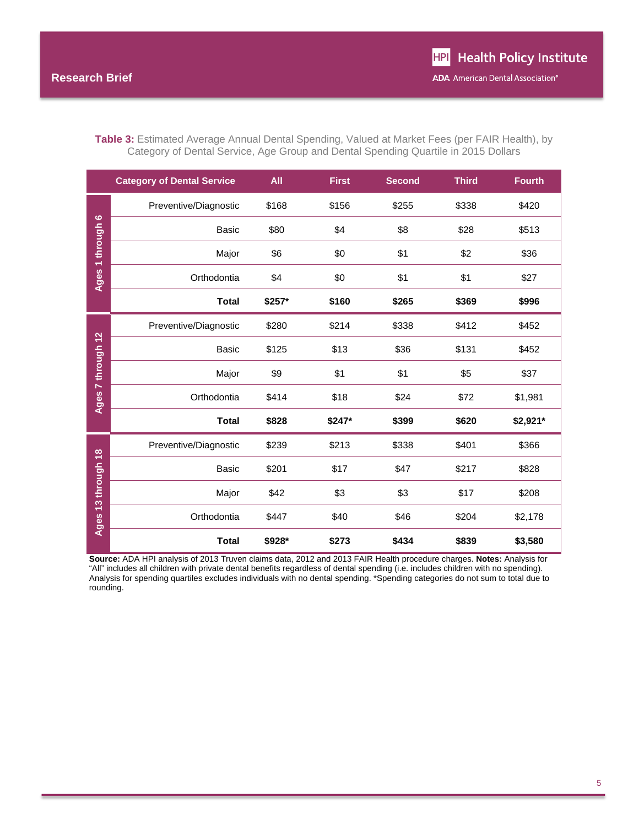|                    | <b>Category of Dental Service</b> | <b>All</b> | <b>First</b> | <b>Second</b> | <b>Third</b> | <b>Fourth</b> |
|--------------------|-----------------------------------|------------|--------------|---------------|--------------|---------------|
|                    | Preventive/Diagnostic             | \$168      | \$156        | \$255         | \$338        | \$420         |
| Ages 1 through 6   | <b>Basic</b>                      | \$80       | \$4          | \$8           | \$28         | \$513         |
|                    | Major                             | \$6        | \$0          | \$1           | \$2          | \$36          |
|                    | Orthodontia                       | \$4        | \$0          | \$1           | \$1          | \$27          |
|                    | <b>Total</b>                      | \$257*     | \$160        | \$265         | \$369        | \$996         |
|                    | Preventive/Diagnostic             | \$280      | \$214        | \$338         | \$412        | \$452         |
|                    | <b>Basic</b>                      | \$125      | \$13         | \$36          | \$131        | \$452         |
|                    | Major                             | \$9        | \$1          | \$1           | \$5          | \$37          |
| Ages 7 through 12  | Orthodontia                       | \$414      | \$18         | \$24          | \$72         | \$1,981       |
|                    | <b>Total</b>                      | \$828      | \$247*       | \$399         | \$620        | \$2,921*      |
|                    | Preventive/Diagnostic             | \$239      | \$213        | \$338         | \$401        | \$366         |
| Ages 13 through 18 | Basic                             | \$201      | \$17         | \$47          | \$217        | \$828         |
|                    | Major                             | \$42       | \$3          | \$3           | \$17         | \$208         |
|                    | Orthodontia                       | \$447      | \$40         | \$46          | \$204        | \$2,178       |
|                    |                                   |            |              |               |              |               |

**Table 3:** Estimated Average Annual Dental Spending, Valued at Market Fees (per FAIR Health), by Category of Dental Service, Age Group and Dental Spending Quartile in 2015 Dollars

**Source:** ADA HPI analysis of 2013 Truven claims data, 2012 and 2013 FAIR Health procedure charges. **Notes:** Analysis for "All" includes all children with private dental benefits regardless of dental spending (i.e. includes children with no spending). Analysis for spending quartiles excludes individuals with no dental spending. \*Spending categories do not sum to total due to rounding.

**Total \$928\* \$273 \$434 \$839 \$3,580**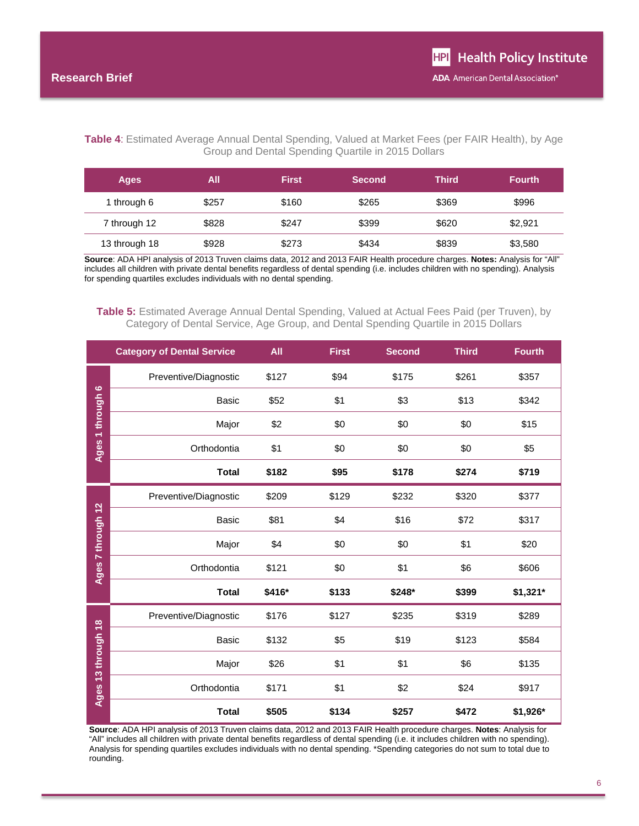#### **Table 4**: Estimated Average Annual Dental Spending, Valued at Market Fees (per FAIR Health), by Age Group and Dental Spending Quartile in 2015 Dollars

| <b>Ages</b>   | All   | <b>First</b> | <b>Second</b> | Third | <b>Fourth</b> |
|---------------|-------|--------------|---------------|-------|---------------|
| 1 through 6   | \$257 | \$160        | \$265         | \$369 | \$996         |
| 7 through 12  | \$828 | \$247        | \$399         | \$620 | \$2,921       |
| 13 through 18 | \$928 | \$273        | \$434         | \$839 | \$3,580       |

**Source**: ADA HPI analysis of 2013 Truven claims data, 2012 and 2013 FAIR Health procedure charges. **Notes:** Analysis for "All" includes all children with private dental benefits regardless of dental spending (i.e. includes children with no spending). Analysis for spending quartiles excludes individuals with no dental spending.

#### **Table 5:** Estimated Average Annual Dental Spending, Valued at Actual Fees Paid (per Truven), by Category of Dental Service, Age Group, and Dental Spending Quartile in 2015 Dollars

|                    | <b>Category of Dental Service</b> | <b>All</b> | <b>First</b> | <b>Second</b> | <b>Third</b> | <b>Fourth</b> |
|--------------------|-----------------------------------|------------|--------------|---------------|--------------|---------------|
|                    | Preventive/Diagnostic             | \$127      | \$94         | \$175         | \$261        | \$357         |
|                    | <b>Basic</b>                      | \$52       | \$1          | \$3           | \$13         | \$342         |
|                    | Major                             | \$2        | \$0          | \$0           | \$0          | \$15          |
| Ages 1 through 6   | Orthodontia                       | \$1        | \$0          | \$0           | \$0          | \$5           |
|                    | <b>Total</b>                      | \$182      | \$95         | \$178         | \$274        | \$719         |
|                    | Preventive/Diagnostic             | \$209      | \$129        | \$232         | \$320        | \$377         |
|                    | <b>Basic</b>                      | \$81       | \$4          | \$16          | \$72         | \$317         |
|                    | Major                             | \$4        | \$0          | \$0           | \$1          | \$20          |
| Ages 7 through 12  | Orthodontia                       | \$121      | \$0          | \$1           | \$6          | \$606         |
|                    | <b>Total</b>                      | \$416*     | \$133        | \$248*        | \$399        | \$1,321*      |
|                    | Preventive/Diagnostic             | \$176      | \$127        | \$235         | \$319        | \$289         |
|                    | <b>Basic</b>                      | \$132      | \$5          | \$19          | \$123        | \$584         |
|                    | Major                             | \$26       | \$1          | \$1           | \$6          | \$135         |
| Ages 13 through 18 | Orthodontia                       | \$171      | \$1          | \$2           | \$24         | \$917         |
|                    | <b>Total</b>                      | \$505      | \$134        | \$257         | \$472        | \$1,926*      |

**Source**: ADA HPI analysis of 2013 Truven claims data, 2012 and 2013 FAIR Health procedure charges. **Notes**: Analysis for "All" includes all children with private dental benefits regardless of dental spending (i.e. it includes children with no spending). Analysis for spending quartiles excludes individuals with no dental spending. \*Spending categories do not sum to total due to rounding.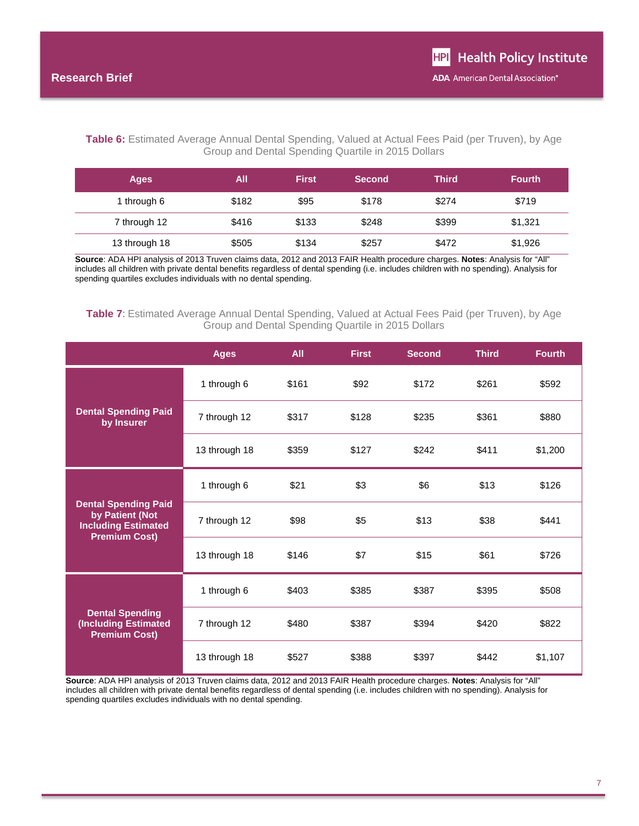#### **Table 6:** Estimated Average Annual Dental Spending, Valued at Actual Fees Paid (per Truven), by Age Group and Dental Spending Quartile in 2015 Dollars

| <b>Ages</b>   | All   | <b>First</b> | <b>Second</b> | <b>Third</b> | <b>Fourth</b> |
|---------------|-------|--------------|---------------|--------------|---------------|
| 1 through 6   | \$182 | \$95         | \$178         | \$274        | \$719         |
| 7 through 12  | \$416 | \$133        | \$248         | \$399        | \$1,321       |
| 13 through 18 | \$505 | \$134        | \$257         | \$472        | \$1,926       |

**Source**: ADA HPI analysis of 2013 Truven claims data, 2012 and 2013 FAIR Health procedure charges. **Notes**: Analysis for "All" includes all children with private dental benefits regardless of dental spending (i.e. includes children with no spending). Analysis for spending quartiles excludes individuals with no dental spending.

#### **Table 7**: Estimated Average Annual Dental Spending, Valued at Actual Fees Paid (per Truven), by Age Group and Dental Spending Quartile in 2015 Dollars

|                                                                                                      | <b>Ages</b>   | All   | <b>First</b> | <b>Second</b> | <b>Third</b> | <b>Fourth</b> |
|------------------------------------------------------------------------------------------------------|---------------|-------|--------------|---------------|--------------|---------------|
|                                                                                                      | 1 through 6   | \$161 | \$92         | \$172         | \$261        | \$592         |
| <b>Dental Spending Paid</b><br>by Insurer                                                            | 7 through 12  | \$317 | \$128        | \$235         | \$361        | \$880         |
|                                                                                                      | 13 through 18 | \$359 | \$127        | \$242         | \$411        | \$1,200       |
|                                                                                                      | 1 through 6   | \$21  | \$3          | \$6           | \$13         | \$126         |
| <b>Dental Spending Paid</b><br>by Patient (Not<br><b>Including Estimated</b><br><b>Premium Cost)</b> | 7 through 12  | \$98  | \$5          | \$13          | \$38         | \$441         |
|                                                                                                      | 13 through 18 | \$146 | \$7          | \$15          | \$61         | \$726         |
|                                                                                                      | 1 through 6   | \$403 | \$385        | \$387         | \$395        | \$508         |
| <b>Dental Spending</b><br><b>(Including Estimated</b><br><b>Premium Cost)</b>                        | 7 through 12  | \$480 | \$387        | \$394         | \$420        | \$822         |
|                                                                                                      | 13 through 18 | \$527 | \$388        | \$397         | \$442        | \$1,107       |

**Source**: ADA HPI analysis of 2013 Truven claims data, 2012 and 2013 FAIR Health procedure charges. **Notes**: Analysis for "All" includes all children with private dental benefits regardless of dental spending (i.e. includes children with no spending). Analysis for spending quartiles excludes individuals with no dental spending.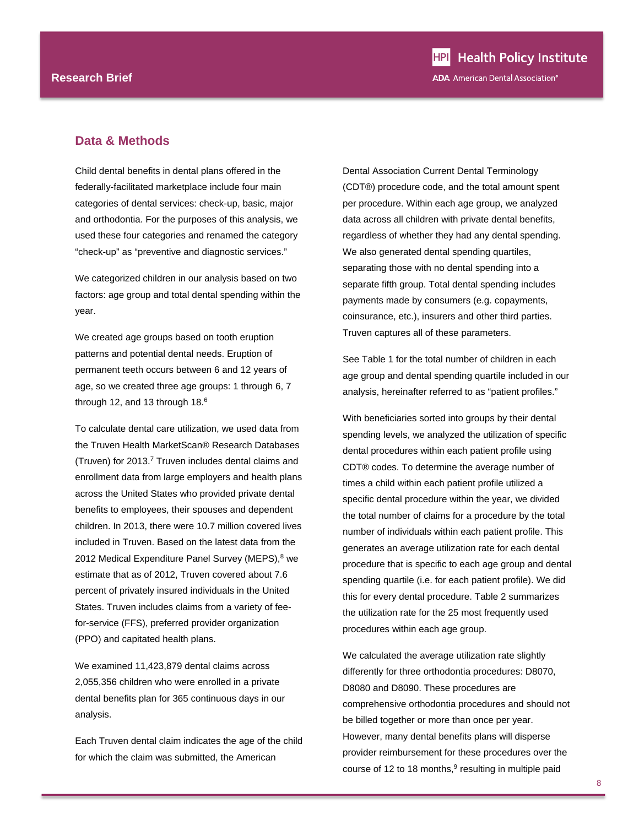#### **Data & Methods**

Child dental benefits in dental plans offered in the federally-facilitated marketplace include four main categories of dental services: check-up, basic, major and orthodontia. For the purposes of this analysis, we used these four categories and renamed the category "check-up" as "preventive and diagnostic services."

We categorized children in our analysis based on two factors: age group and total dental spending within the year.

We created age groups based on tooth eruption patterns and potential dental needs. Eruption of permanent teeth occurs between 6 and 12 years of age, so we created three age groups: 1 through 6, 7 through 12, and 13 through 18.<sup>6</sup>

To calculate dental care utilization, we used data from the Truven Health MarketScan® Research Databases (Truven) for 2013.7 Truven includes dental claims and enrollment data from large employers and health plans across the United States who provided private dental benefits to employees, their spouses and dependent children. In 2013, there were 10.7 million covered lives included in Truven. Based on the latest data from the 2012 Medical Expenditure Panel Survey (MEPS),<sup>8</sup> we estimate that as of 2012, Truven covered about 7.6 percent of privately insured individuals in the United States. Truven includes claims from a variety of feefor-service (FFS), preferred provider organization (PPO) and capitated health plans.

We examined 11,423,879 dental claims across 2,055,356 children who were enrolled in a private dental benefits plan for 365 continuous days in our analysis.

Each Truven dental claim indicates the age of the child for which the claim was submitted, the American

Dental Association Current Dental Terminology (CDT®) procedure code, and the total amount spent per procedure. Within each age group, we analyzed data across all children with private dental benefits, regardless of whether they had any dental spending. We also generated dental spending quartiles, separating those with no dental spending into a separate fifth group. Total dental spending includes payments made by consumers (e.g. copayments, coinsurance, etc.), insurers and other third parties. Truven captures all of these parameters.

See Table 1 for the total number of children in each age group and dental spending quartile included in our analysis, hereinafter referred to as "patient profiles."

With beneficiaries sorted into groups by their dental spending levels, we analyzed the utilization of specific dental procedures within each patient profile using CDT® codes. To determine the average number of times a child within each patient profile utilized a specific dental procedure within the year, we divided the total number of claims for a procedure by the total number of individuals within each patient profile. This generates an average utilization rate for each dental procedure that is specific to each age group and dental spending quartile (i.e. for each patient profile). We did this for every dental procedure. Table 2 summarizes the utilization rate for the 25 most frequently used procedures within each age group.

We calculated the average utilization rate slightly differently for three orthodontia procedures: D8070, D8080 and D8090. These procedures are comprehensive orthodontia procedures and should not be billed together or more than once per year. However, many dental benefits plans will disperse provider reimbursement for these procedures over the course of 12 to 18 months, $9$  resulting in multiple paid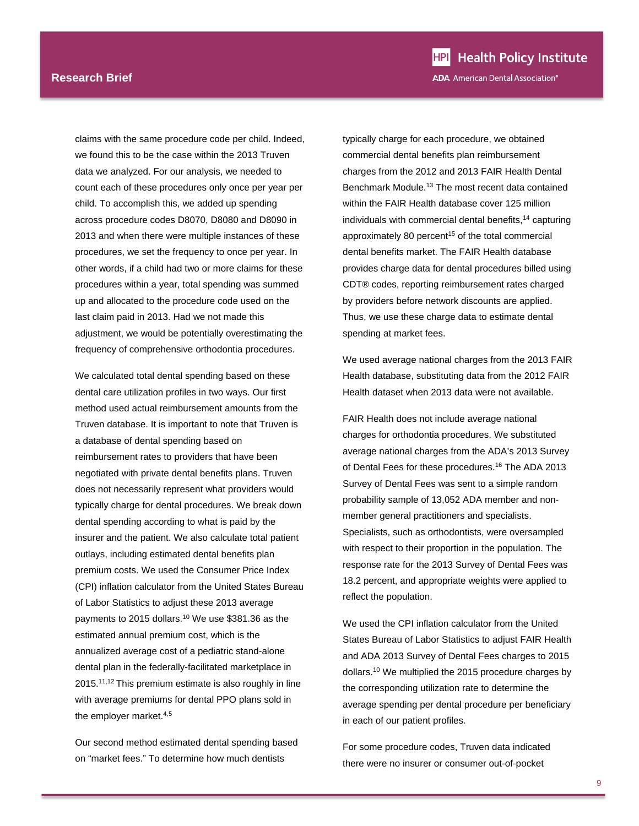claims with the same procedure code per child. Indeed, we found this to be the case within the 2013 Truven data we analyzed. For our analysis, we needed to count each of these procedures only once per year per child. To accomplish this, we added up spending across procedure codes D8070, D8080 and D8090 in 2013 and when there were multiple instances of these procedures, we set the frequency to once per year. In other words, if a child had two or more claims for these procedures within a year, total spending was summed up and allocated to the procedure code used on the last claim paid in 2013. Had we not made this adjustment, we would be potentially overestimating the frequency of comprehensive orthodontia procedures.

We calculated total dental spending based on these dental care utilization profiles in two ways. Our first method used actual reimbursement amounts from the Truven database. It is important to note that Truven is a database of dental spending based on reimbursement rates to providers that have been negotiated with private dental benefits plans. Truven does not necessarily represent what providers would typically charge for dental procedures. We break down dental spending according to what is paid by the insurer and the patient. We also calculate total patient outlays, including estimated dental benefits plan premium costs. We used the Consumer Price Index (CPI) inflation calculator from the United States Bureau of Labor Statistics to adjust these 2013 average payments to 2015 dollars.<sup>10</sup> We use \$381.36 as the estimated annual premium cost, which is the annualized average cost of a pediatric stand-alone dental plan in the federally-facilitated marketplace in 2015.11,12 This premium estimate is also roughly in line with average premiums for dental PPO plans sold in the employer market.4,5

Our second method estimated dental spending based on "market fees." To determine how much dentists

typically charge for each procedure, we obtained commercial dental benefits plan reimbursement charges from the 2012 and 2013 FAIR Health Dental Benchmark Module.13 The most recent data contained within the FAIR Health database cover 125 million individuals with commercial dental benefits,<sup>14</sup> capturing approximately 80 percent<sup>15</sup> of the total commercial dental benefits market. The FAIR Health database provides charge data for dental procedures billed using CDT® codes, reporting reimbursement rates charged by providers before network discounts are applied. Thus, we use these charge data to estimate dental spending at market fees.

We used average national charges from the 2013 FAIR Health database, substituting data from the 2012 FAIR Health dataset when 2013 data were not available.

FAIR Health does not include average national charges for orthodontia procedures. We substituted average national charges from the ADA's 2013 Survey of Dental Fees for these procedures.<sup>16</sup> The ADA 2013 Survey of Dental Fees was sent to a simple random probability sample of 13,052 ADA member and nonmember general practitioners and specialists. Specialists, such as orthodontists, were oversampled with respect to their proportion in the population. The response rate for the 2013 Survey of Dental Fees was 18.2 percent, and appropriate weights were applied to reflect the population.

We used the CPI inflation calculator from the United States Bureau of Labor Statistics to adjust FAIR Health and ADA 2013 Survey of Dental Fees charges to 2015 dollars.10 We multiplied the 2015 procedure charges by the corresponding utilization rate to determine the average spending per dental procedure per beneficiary in each of our patient profiles.

For some procedure codes, Truven data indicated there were no insurer or consumer out-of-pocket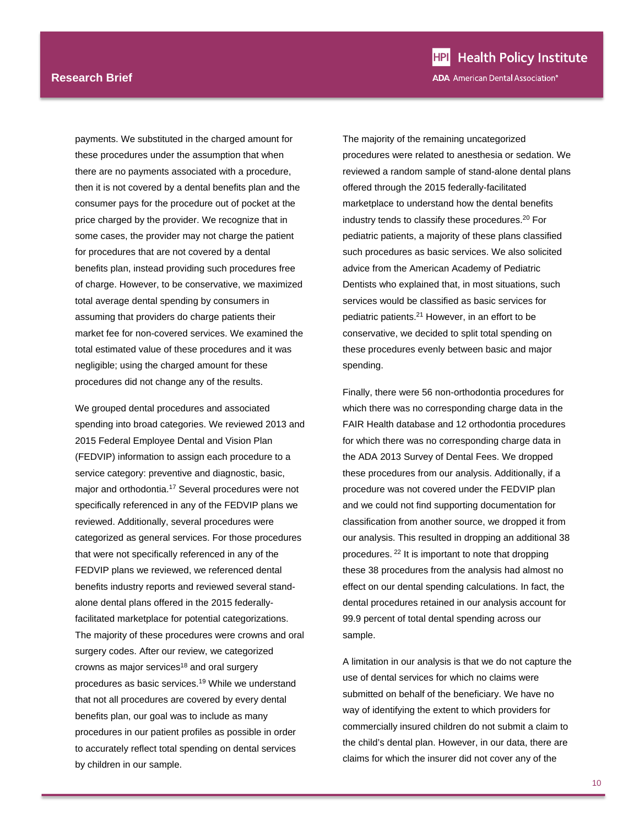payments. We substituted in the charged amount for these procedures under the assumption that when there are no payments associated with a procedure, then it is not covered by a dental benefits plan and the consumer pays for the procedure out of pocket at the price charged by the provider. We recognize that in some cases, the provider may not charge the patient for procedures that are not covered by a dental benefits plan, instead providing such procedures free of charge. However, to be conservative, we maximized total average dental spending by consumers in assuming that providers do charge patients their market fee for non-covered services. We examined the total estimated value of these procedures and it was negligible; using the charged amount for these procedures did not change any of the results.

We grouped dental procedures and associated spending into broad categories. We reviewed 2013 and 2015 Federal Employee Dental and Vision Plan (FEDVIP) information to assign each procedure to a service category: preventive and diagnostic, basic, major and orthodontia.17 Several procedures were not specifically referenced in any of the FEDVIP plans we reviewed. Additionally, several procedures were categorized as general services. For those procedures that were not specifically referenced in any of the FEDVIP plans we reviewed, we referenced dental benefits industry reports and reviewed several standalone dental plans offered in the 2015 federallyfacilitated marketplace for potential categorizations. The majority of these procedures were crowns and oral surgery codes. After our review, we categorized crowns as major services<sup>18</sup> and oral surgery procedures as basic services.19 While we understand that not all procedures are covered by every dental benefits plan, our goal was to include as many procedures in our patient profiles as possible in order to accurately reflect total spending on dental services by children in our sample.

The majority of the remaining uncategorized procedures were related to anesthesia or sedation. We reviewed a random sample of stand-alone dental plans offered through the 2015 federally-facilitated marketplace to understand how the dental benefits industry tends to classify these procedures.<sup>20</sup> For pediatric patients, a majority of these plans classified such procedures as basic services. We also solicited advice from the American Academy of Pediatric Dentists who explained that, in most situations, such services would be classified as basic services for pediatric patients.21 However, in an effort to be conservative, we decided to split total spending on these procedures evenly between basic and major spending.

Finally, there were 56 non-orthodontia procedures for which there was no corresponding charge data in the FAIR Health database and 12 orthodontia procedures for which there was no corresponding charge data in the ADA 2013 Survey of Dental Fees. We dropped these procedures from our analysis. Additionally, if a procedure was not covered under the FEDVIP plan and we could not find supporting documentation for classification from another source, we dropped it from our analysis. This resulted in dropping an additional 38 procedures. 22 It is important to note that dropping these 38 procedures from the analysis had almost no effect on our dental spending calculations. In fact, the dental procedures retained in our analysis account for 99.9 percent of total dental spending across our sample.

A limitation in our analysis is that we do not capture the use of dental services for which no claims were submitted on behalf of the beneficiary. We have no way of identifying the extent to which providers for commercially insured children do not submit a claim to the child's dental plan. However, in our data, there are claims for which the insurer did not cover any of the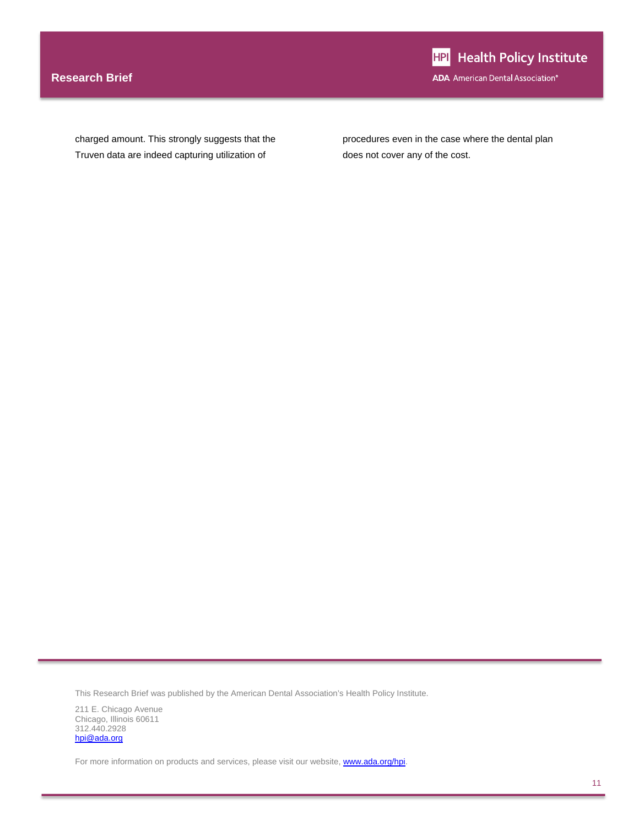### **Research Brief**

charged amount. This strongly suggests that the Truven data are indeed capturing utilization of

procedures even in the case where the dental plan does not cover any of the cost.

This Research Brief was published by the American Dental Association's Health Policy Institute.

211 E. Chicago Avenue Chicago, Illinois 60611 312.440.2928 hpi@ada.org

For more information on products and services, please visit our website, **www.ada.org/hpi**.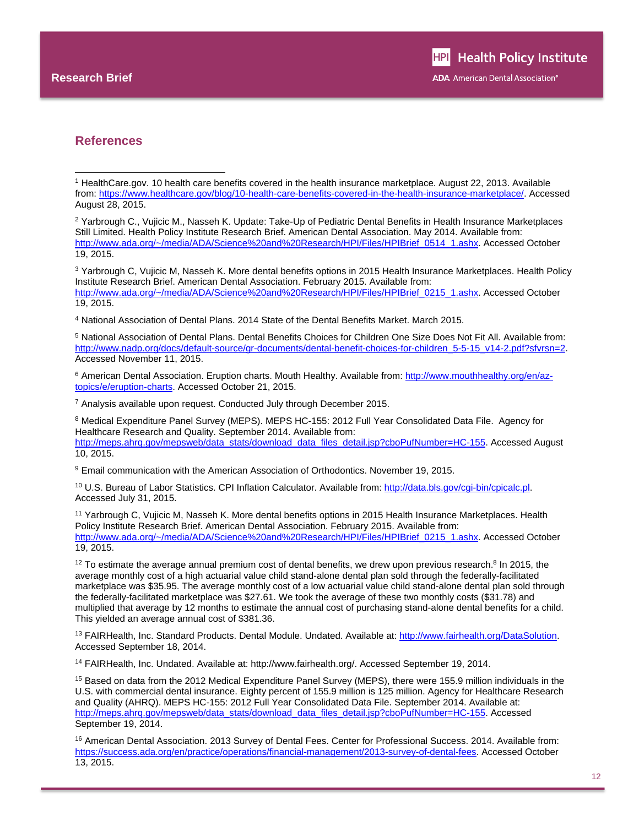l

#### **References**

3 Yarbrough C, Vujicic M, Nasseh K. More dental benefits options in 2015 Health Insurance Marketplaces. Health Policy Institute Research Brief. American Dental Association. February 2015. Available from: http://www.ada.org/~/media/ADA/Science%20and%20Research/HPI/Files/HPIBrief\_0215\_1.ashx. Accessed October 19, 2015.

4 National Association of Dental Plans. 2014 State of the Dental Benefits Market. March 2015.

5 National Association of Dental Plans. Dental Benefits Choices for Children One Size Does Not Fit All. Available from: http://www.nadp.org/docs/default-source/gr-documents/dental-benefit-choices-for-children\_5-5-15\_v14-2.pdf?sfvrsn=2. Accessed November 11, 2015.

6 American Dental Association. Eruption charts. Mouth Healthy. Available from: http://www.mouthhealthy.org/en/aztopics/e/eruption-charts. Accessed October 21, 2015.

7 Analysis available upon request. Conducted July through December 2015.

8 Medical Expenditure Panel Survey (MEPS). MEPS HC-155: 2012 Full Year Consolidated Data File. Agency for Healthcare Research and Quality. September 2014. Available from: http://meps.ahrq.gov/mepsweb/data\_stats/download\_data\_files\_detail.jsp?cboPufNumber=HC-155. Accessed August 10, 2015.

9 Email communication with the American Association of Orthodontics. November 19, 2015.

10 U.S. Bureau of Labor Statistics. CPI Inflation Calculator. Available from: http://data.bls.gov/cgi-bin/cpicalc.pl. Accessed July 31, 2015.

11 Yarbrough C, Vujicic M, Nasseh K. More dental benefits options in 2015 Health Insurance Marketplaces. Health Policy Institute Research Brief. American Dental Association. February 2015. Available from: http://www.ada.org/~/media/ADA/Science%20and%20Research/HPI/Files/HPIBrief\_0215\_1.ashx. Accessed October 19, 2015.

 $12$  To estimate the average annual premium cost of dental benefits, we drew upon previous research.<sup>8</sup> In 2015, the average monthly cost of a high actuarial value child stand-alone dental plan sold through the federally-facilitated marketplace was \$35.95. The average monthly cost of a low actuarial value child stand-alone dental plan sold through the federally-facilitated marketplace was \$27.61. We took the average of these two monthly costs (\$31.78) and multiplied that average by 12 months to estimate the annual cost of purchasing stand-alone dental benefits for a child. This yielded an average annual cost of \$381.36.

13 FAIRHealth, Inc. Standard Products. Dental Module. Undated. Available at: http://www.fairhealth.org/DataSolution. Accessed September 18, 2014.

14 FAIRHealth, Inc. Undated. Available at: http://www.fairhealth.org/. Accessed September 19, 2014.

15 Based on data from the 2012 Medical Expenditure Panel Survey (MEPS), there were 155.9 million individuals in the U.S. with commercial dental insurance. Eighty percent of 155.9 million is 125 million. Agency for Healthcare Research and Quality (AHRQ). MEPS HC-155: 2012 Full Year Consolidated Data File. September 2014. Available at: http://meps.ahrg.gov/mepsweb/data\_stats/download\_data\_files\_detail.jsp?cboPufNumber=HC-155. Accessed September 19, 2014.

16 American Dental Association. 2013 Survey of Dental Fees. Center for Professional Success. 2014. Available from: https://success.ada.org/en/practice/operations/financial-management/2013-survey-of-dental-fees. Accessed October 13, 2015.

<sup>1</sup> HealthCare.gov. 10 health care benefits covered in the health insurance marketplace. August 22, 2013. Available from: https://www.healthcare.gov/blog/10-health-care-benefits-covered-in-the-health-insurance-marketplace/. Accessed August 28, 2015.

<sup>2</sup> Yarbrough C., Vujicic M., Nasseh K. Update: Take-Up of Pediatric Dental Benefits in Health Insurance Marketplaces Still Limited. Health Policy Institute Research Brief. American Dental Association. May 2014. Available from: http://www.ada.org/~/media/ADA/Science%20and%20Research/HPI/Files/HPIBrief\_0514\_1.ashx. Accessed October 19, 2015.